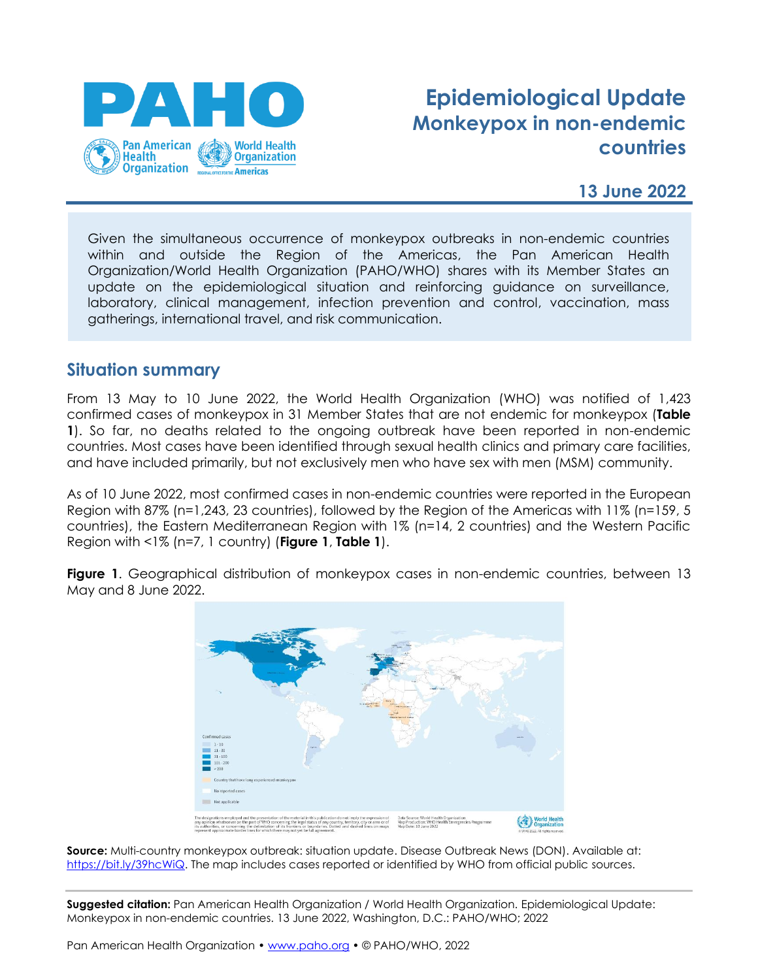

# **Epidemiological Update Monkeypox in non-endemic countries**

### **13 June 2022**

Given the simultaneous occurrence of monkeypox outbreaks in non-endemic countries within and outside the Region of the Americas, the Pan American Health Organization/World Health Organization (PAHO/WHO) shares with its Member States an update on the epidemiological situation and reinforcing guidance on surveillance, laboratory, clinical management, infection prevention and control, vaccination, mass gatherings, international travel, and risk communication.

#### **Situation summary**

From 13 May to 10 June 2022, the World Health Organization (WHO) was notified of 1,423 confirmed cases of monkeypox in 31 Member States that are not endemic for monkeypox (**Table 1**). So far, no deaths related to the ongoing outbreak have been reported in non-endemic countries. Most cases have been identified through sexual health clinics and primary care facilities, and have included primarily, but not exclusively men who have sex with men (MSM) community.

As of 10 June 2022, most confirmed cases in non-endemic countries were reported in the European Region with 87% (n=1,243, 23 countries), followed by the Region of the Americas with 11% (n=159, 5 countries), the Eastern Mediterranean Region with 1% (n=14, 2 countries) and the Western Pacific Region with <1% (n=7, 1 country) (**Figure 1**, **Table 1**).

**Figure 1**. Geographical distribution of monkeypox cases in non-endemic countries, between 13 May and 8 June 2022.



**Source:** Multi-country monkeypox outbreak: situation update. Disease Outbreak News (DON). Available at: [https://bit.ly/39hcWiQ.](https://bit.ly/39hcWiQ) The map includes cases reported or identified by WHO from official public sources.

**Suggested citation:** Pan American Health Organization / World Health Organization. Epidemiological Update: Monkeypox in non-endemic countries. 13 June 2022, Washington, D.C.: PAHO/WHO; 2022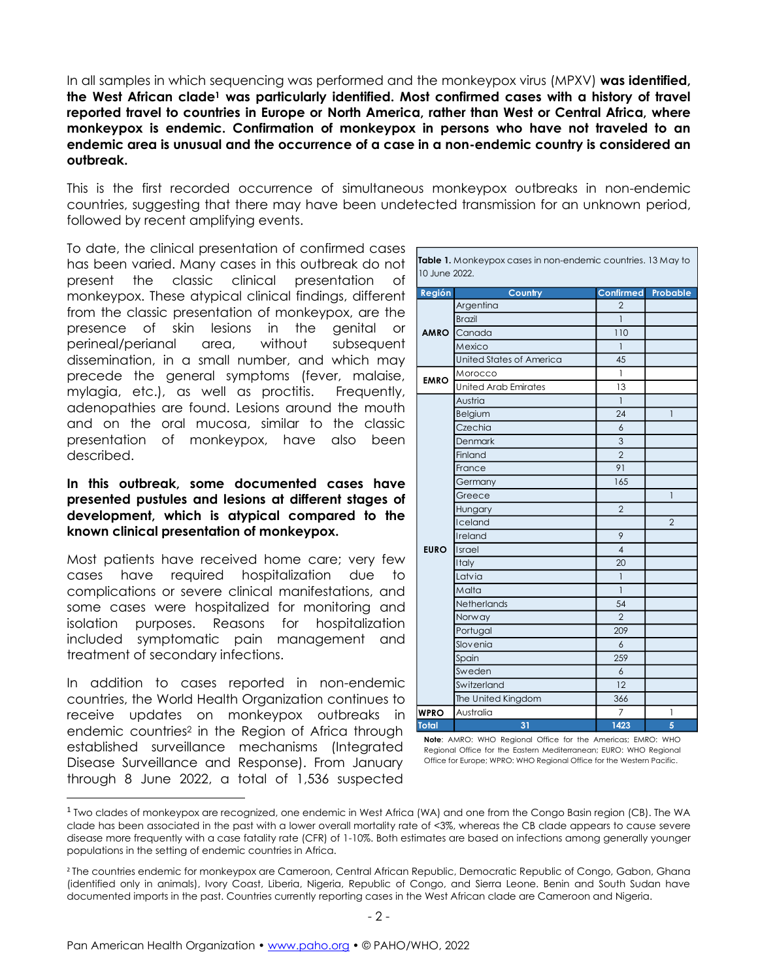In all samples in which sequencing was performed and the monkeypox virus (MPXV) **was identified, the West African clade<sup>1</sup> was particularly identified. Most confirmed cases with a history of travel reported travel to countries in Europe or North America, rather than West or Central Africa, where monkeypox is endemic. Confirmation of monkeypox in persons who have not traveled to an endemic area is unusual and the occurrence of a case in a non-endemic country is considered an outbreak.**

This is the first recorded occurrence of simultaneous monkeypox outbreaks in non-endemic countries, suggesting that there may have been undetected transmission for an unknown period, followed by recent amplifying events.

To date, the clinical presentation of confirmed cases has been varied. Many cases in this outbreak do not present the classic clinical presentation of monkeypox. These atypical clinical findings, different from the classic presentation of monkeypox, are the presence of skin lesions in the genital or perineal/perianal area, without subsequent dissemination, in a small number, and which may precede the general symptoms (fever, malaise, mylagia, etc.), as well as proctitis. Frequently, adenopathies are found. Lesions around the mouth and on the oral mucosa, similar to the classic presentation of monkeypox, have also been described.

#### **In this outbreak, some documented cases have presented pustules and lesions at different stages of development, which is atypical compared to the known clinical presentation of monkeypox.**

Most patients have received home care; very few cases have required hospitalization due to complications or severe clinical manifestations, and some cases were hospitalized for monitoring and isolation purposes. Reasons for hospitalization included symptomatic pain management and treatment of secondary infections.

In addition to cases reported in non-endemic countries, the World Health Organization continues to receive updates on monkeypox outbreaks in endemic countries<sup>2</sup> in the Region of Africa through established surveillance mechanisms (Integrated Disease Surveillance and Response). From January through 8 June 2022, a total of 1,536 suspected

| <b>Table 1.</b> Monkeypox cases in non-endemic countries, 13 May to |  |
|---------------------------------------------------------------------|--|
| 10 June 2022.                                                       |  |

| Región      | Country                         | <b>Confirmed Probable</b> |                |
|-------------|---------------------------------|---------------------------|----------------|
|             | Argentina                       | $\overline{2}$            |                |
|             | <b>Brazil</b>                   | 1                         |                |
| <b>AMRO</b> | Canada                          | 110                       |                |
|             | Mexico                          | $\mathbf{1}$              |                |
|             | <b>United States of America</b> | 45                        |                |
| <b>EMRO</b> | Morocco                         | $\mathbf{1}$              |                |
|             | <b>United Arab Emirates</b>     | 13                        |                |
|             | Austria                         | 1                         |                |
|             | Belgium                         | 24                        | $\mathbf{1}$   |
|             | Czechia                         | 6                         |                |
|             | Denmark                         | 3                         |                |
|             | Finland                         | $\overline{2}$            |                |
|             | France                          | 91                        |                |
|             | Germany                         | 165                       |                |
|             | Greece                          |                           | $\mathbf{1}$   |
|             | Hungary                         | $\overline{2}$            |                |
|             | Iceland                         |                           | $\overline{2}$ |
|             | Ireland                         | 9                         |                |
| <b>EURO</b> | Israel                          | $\overline{4}$            |                |
|             | Italy                           | 20                        |                |
|             | Latvia                          | $\overline{\phantom{a}}$  |                |
|             | Malta                           | $\mathbf{1}$              |                |
|             | Netherlands                     | 54                        |                |
|             | Norway                          | $\overline{2}$            |                |
|             | Portugal                        | 209                       |                |
|             | Slovenia                        | $\overline{6}$            |                |
|             | Spain                           | 259                       |                |
|             | Sweden                          | 6                         |                |
|             | Switzerland                     | 12                        |                |
|             | The United Kingdom              | 366                       |                |
| <b>WPRO</b> | Australia                       | 7                         | 1              |
| Total       | 31                              | 1423                      | 5              |

**Note**: AMRO: WHO Regional Office for the Americas; EMRO: WHO Regional Office for the Eastern Mediterranean; EURO: WHO Regional Office for Europe; WPRO: WHO Regional Office for the Western Pacific.

<sup>&</sup>lt;sup>1</sup> Two clades of monkeypox are recognized, one endemic in West Africa (WA) and one from the Congo Basin region (CB). The WA clade has been associated in the past with a lower overall mortality rate of <3%, whereas the CB clade appears to cause severe disease more frequently with a case fatality rate (CFR) of 1-10%. Both estimates are based on infections among generally younger populations in the setting of endemic countries in Africa.

<sup>&</sup>lt;sup>2</sup> The countries endemic for monkeypox are Cameroon, Central African Republic, Democratic Republic of Congo, Gabon, Ghana (identified only in animals), Ivory Coast, Liberia, Nigeria, Republic of Congo, and Sierra Leone. Benin and South Sudan have documented imports in the past. Countries currently reporting cases in the West African clade are Cameroon and Nigeria.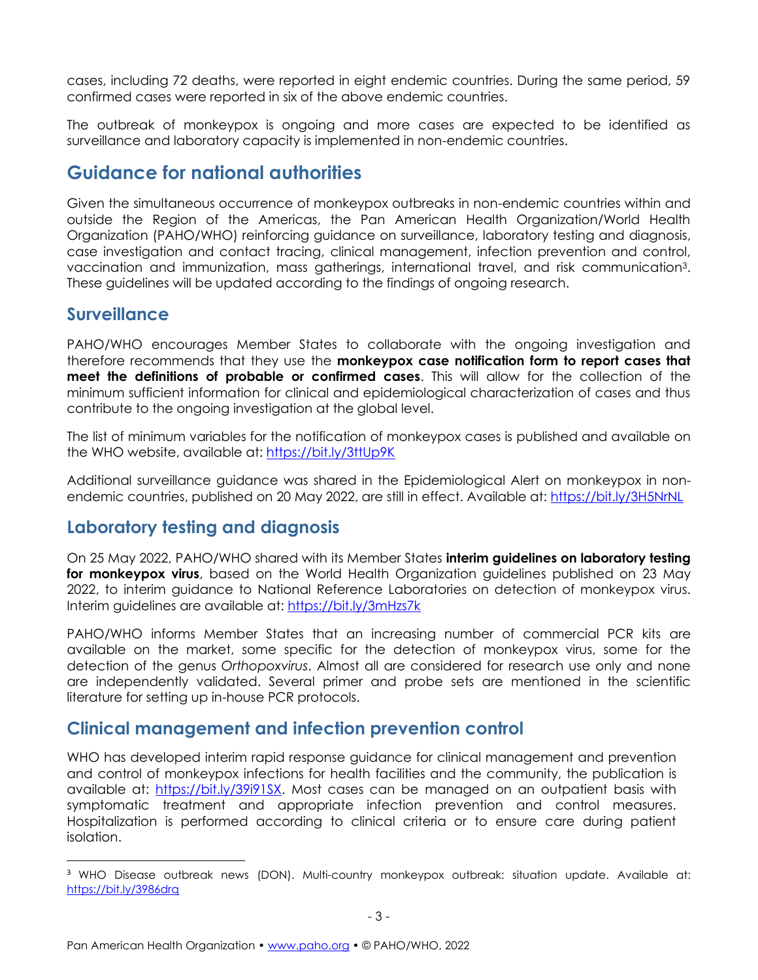cases, including 72 deaths, were reported in eight endemic countries. During the same period, 59 confirmed cases were reported in six of the above endemic countries.

The outbreak of monkeypox is ongoing and more cases are expected to be identified as surveillance and laboratory capacity is implemented in non-endemic countries.

## **Guidance for national authorities**

Given the simultaneous occurrence of monkeypox outbreaks in non-endemic countries within and outside the Region of the Americas, the Pan American Health Organization/World Health Organization (PAHO/WHO) reinforcing guidance on surveillance, laboratory testing and diagnosis, case investigation and contact tracing, clinical management, infection prevention and control, vaccination and immunization, mass gatherings, international travel, and risk communication3. These guidelines will be updated according to the findings of ongoing research.

### **Surveillance**

PAHO/WHO encourages Member States to collaborate with the ongoing investigation and therefore recommends that they use the **monkeypox case notification form to report cases that meet the definitions of probable or confirmed cases**. This will allow for the collection of the minimum sufficient information for clinical and epidemiological characterization of cases and thus contribute to the ongoing investigation at the global level.

The list of minimum variables for the notification of monkeypox cases is published and available on the WHO website, available at: <https://bit.ly/3ttUp9K>

Additional surveillance guidance was shared in the Epidemiological Alert on monkeypox in nonendemic countries, published on 20 May 2022, are still in effect. Available at:<https://bit.ly/3H5NrNL>

### **Laboratory testing and diagnosis**

On 25 May 2022, PAHO/WHO shared with its Member States **interim guidelines on laboratory testing for monkeypox virus**, based on the World Health Organization guidelines published on 23 May 2022, to interim guidance to National Reference Laboratories on detection of monkeypox virus. Interim guidelines are available at:<https://bit.ly/3mHzs7k>

PAHO/WHO informs Member States that an increasing number of commercial PCR kits are available on the market, some specific for the detection of monkeypox virus, some for the detection of the genus *Orthopoxvirus*. Almost all are considered for research use only and none are independently validated. Several primer and probe sets are mentioned in the scientific literature for setting up in-house PCR protocols.

### **Clinical management and infection prevention control**

WHO has developed interim rapid response guidance for clinical management and prevention and control of monkeypox infections for health facilities and the community, the publication is available at: [https://bit.ly/39i91SX.](https://bit.ly/39i91SX) Most cases can be managed on an outpatient basis with symptomatic treatment and appropriate infection prevention and control measures. Hospitalization is performed according to clinical criteria or to ensure care during patient isolation.

<sup>&</sup>lt;sup>3</sup> WHO Disease outbreak news (DON). Multi-country monkeypox outbreak: situation update. Available at: <https://bit.ly/3986drq>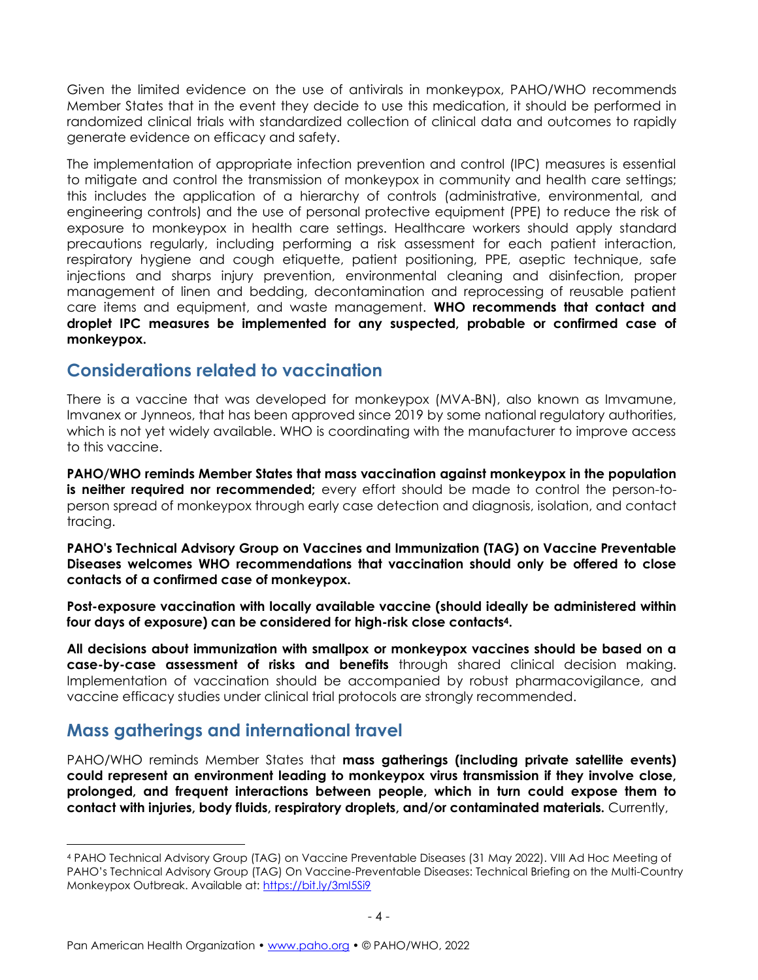Given the limited evidence on the use of antivirals in monkeypox, PAHO/WHO recommends Member States that in the event they decide to use this medication, it should be performed in randomized clinical trials with standardized collection of clinical data and outcomes to rapidly generate evidence on efficacy and safety.

The implementation of appropriate infection prevention and control (IPC) measures is essential to mitigate and control the transmission of monkeypox in community and health care settings; this includes the application of a hierarchy of controls (administrative, environmental, and engineering controls) and the use of personal protective equipment (PPE) to reduce the risk of exposure to monkeypox in health care settings. Healthcare workers should apply standard precautions regularly, including performing a risk assessment for each patient interaction, respiratory hygiene and cough etiquette, patient positioning, PPE, aseptic technique, safe injections and sharps injury prevention, environmental cleaning and disinfection, proper management of linen and bedding, decontamination and reprocessing of reusable patient care items and equipment, and waste management. **WHO recommends that contact and droplet IPC measures be implemented for any suspected, probable or confirmed case of monkeypox.**

#### **Considerations related to vaccination**

There is a vaccine that was developed for monkeypox (MVA-BN), also known as Imvamune, Imvanex or Jynneos, that has been approved since 2019 by some national regulatory authorities, which is not yet widely available. WHO is coordinating with the manufacturer to improve access to this vaccine.

**PAHO/WHO reminds Member States that mass vaccination against monkeypox in the population is neither required nor recommended;** every effort should be made to control the person-toperson spread of monkeypox through early case detection and diagnosis, isolation, and contact tracing.

**PAHO's Technical Advisory Group on Vaccines and Immunization (TAG) on Vaccine Preventable Diseases welcomes WHO recommendations that vaccination should only be offered to close contacts of a confirmed case of monkeypox.**

**Post-exposure vaccination with locally available vaccine (should ideally be administered within four days of exposure) can be considered for high-risk close contacts4.**

**All decisions about immunization with smallpox or monkeypox vaccines should be based on a case-by-case assessment of risks and benefits** through shared clinical decision making. Implementation of vaccination should be accompanied by robust pharmacovigilance, and vaccine efficacy studies under clinical trial protocols are strongly recommended.

## **Mass gatherings and international travel**

PAHO/WHO reminds Member States that **mass gatherings (including private satellite events) could represent an environment leading to monkeypox virus transmission if they involve close, prolonged, and frequent interactions between people, which in turn could expose them to contact with injuries, body fluids, respiratory droplets, and/or contaminated materials.** Currently,

<sup>4</sup> PAHO Technical Advisory Group (TAG) on Vaccine Preventable Diseases (31 May 2022). VIII Ad Hoc Meeting of PAHO's Technical Advisory Group (TAG) On Vaccine-Preventable Diseases: Technical Briefing on the Multi-Country Monkeypox Outbreak. Available at:<https://bit.ly/3mI5Si9>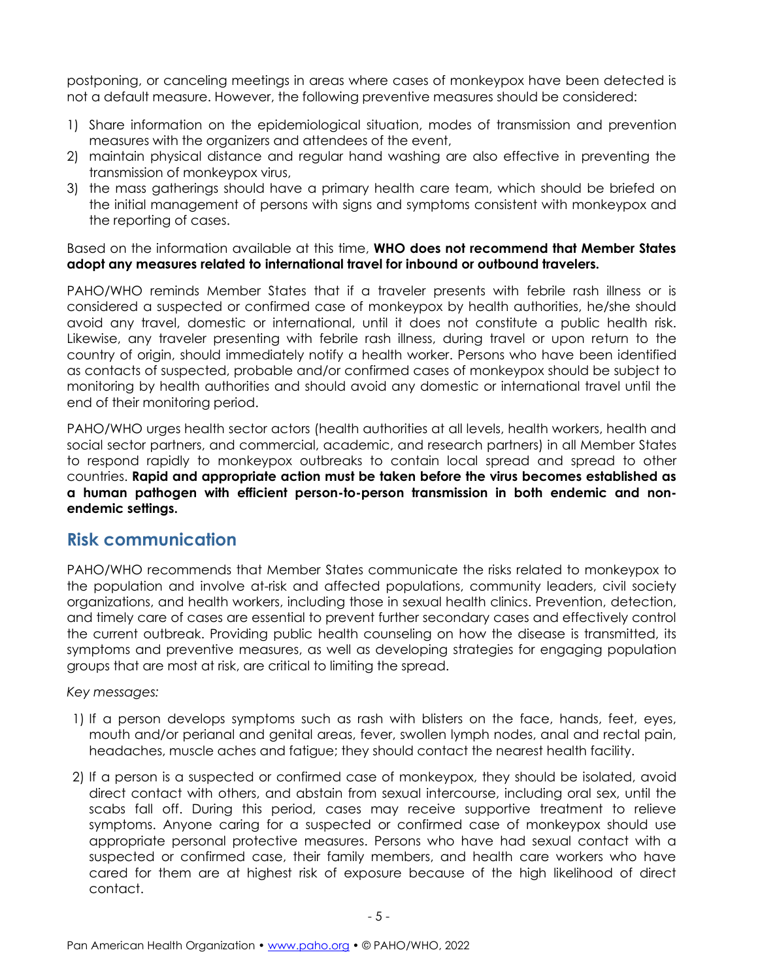postponing, or canceling meetings in areas where cases of monkeypox have been detected is not a default measure. However, the following preventive measures should be considered:

- 1) Share information on the epidemiological situation, modes of transmission and prevention measures with the organizers and attendees of the event,
- 2) maintain physical distance and regular hand washing are also effective in preventing the transmission of monkeypox virus,
- 3) the mass gatherings should have a primary health care team, which should be briefed on the initial management of persons with signs and symptoms consistent with monkeypox and the reporting of cases.

#### Based on the information available at this time, **WHO does not recommend that Member States adopt any measures related to international travel for inbound or outbound travelers.**

PAHO/WHO reminds Member States that if a traveler presents with febrile rash illness or is considered a suspected or confirmed case of monkeypox by health authorities, he/she should avoid any travel, domestic or international, until it does not constitute a public health risk. Likewise, any traveler presenting with febrile rash illness, during travel or upon return to the country of origin, should immediately notify a health worker. Persons who have been identified as contacts of suspected, probable and/or confirmed cases of monkeypox should be subject to monitoring by health authorities and should avoid any domestic or international travel until the end of their monitoring period.

PAHO/WHO urges health sector actors (health authorities at all levels, health workers, health and social sector partners, and commercial, academic, and research partners) in all Member States to respond rapidly to monkeypox outbreaks to contain local spread and spread to other countries. **Rapid and appropriate action must be taken before the virus becomes established as a human pathogen with efficient person-to-person transmission in both endemic and nonendemic settings.**

### **Risk communication**

PAHO/WHO recommends that Member States communicate the risks related to monkeypox to the population and involve at-risk and affected populations, community leaders, civil society organizations, and health workers, including those in sexual health clinics. Prevention, detection, and timely care of cases are essential to prevent further secondary cases and effectively control the current outbreak. Providing public health counseling on how the disease is transmitted, its symptoms and preventive measures, as well as developing strategies for engaging population groups that are most at risk, are critical to limiting the spread.

#### *Key messages:*

- 1) If a person develops symptoms such as rash with blisters on the face, hands, feet, eyes, mouth and/or perianal and genital areas, fever, swollen lymph nodes, anal and rectal pain, headaches, muscle aches and fatigue; they should contact the nearest health facility.
- 2) If a person is a suspected or confirmed case of monkeypox, they should be isolated, avoid direct contact with others, and abstain from sexual intercourse, including oral sex, until the scabs fall off. During this period, cases may receive supportive treatment to relieve symptoms. Anyone caring for a suspected or confirmed case of monkeypox should use appropriate personal protective measures. Persons who have had sexual contact with a suspected or confirmed case, their family members, and health care workers who have cared for them are at highest risk of exposure because of the high likelihood of direct contact.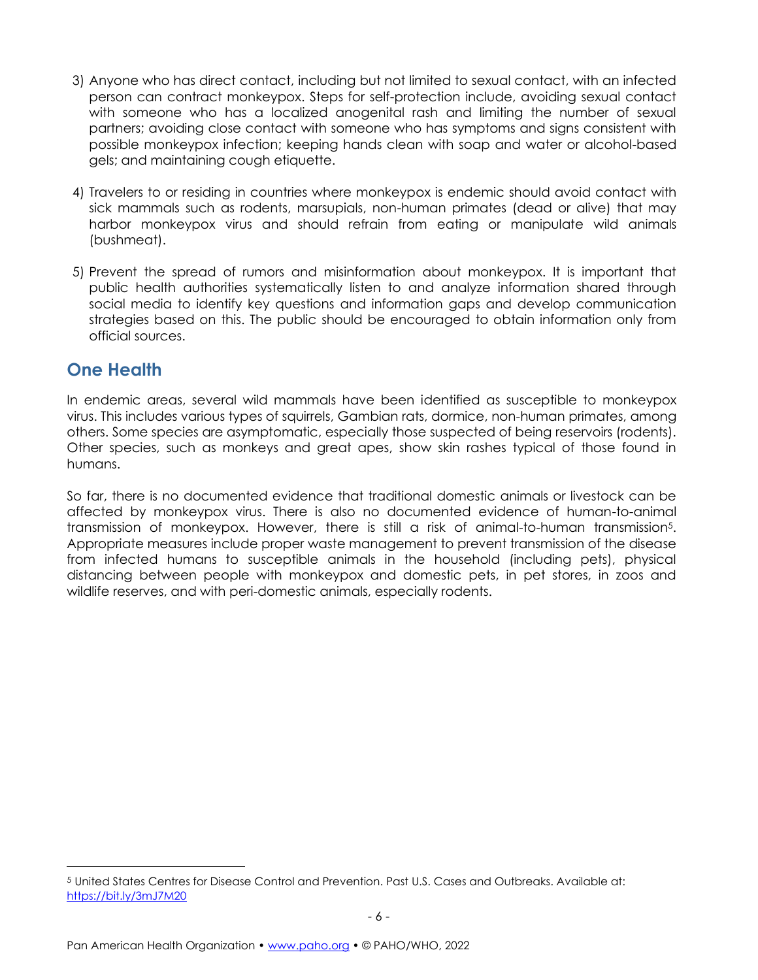- 3) Anyone who has direct contact, including but not limited to sexual contact, with an infected person can contract monkeypox. Steps for self-protection include, avoiding sexual contact with someone who has a localized anogenital rash and limiting the number of sexual partners; avoiding close contact with someone who has symptoms and signs consistent with possible monkeypox infection; keeping hands clean with soap and water or alcohol-based gels; and maintaining cough etiquette.
- 4) Travelers to or residing in countries where monkeypox is endemic should avoid contact with sick mammals such as rodents, marsupials, non-human primates (dead or alive) that may harbor monkeypox virus and should refrain from eating or manipulate wild animals (bushmeat).
- 5) Prevent the spread of rumors and misinformation about monkeypox. It is important that public health authorities systematically listen to and analyze information shared through social media to identify key questions and information gaps and develop communication strategies based on this. The public should be encouraged to obtain information only from official sources.

## **One Health**

In endemic areas, several wild mammals have been identified as susceptible to monkeypox virus. This includes various types of squirrels, Gambian rats, dormice, non-human primates, among others. Some species are asymptomatic, especially those suspected of being reservoirs (rodents). Other species, such as monkeys and great apes, show skin rashes typical of those found in humans.

So far, there is no documented evidence that traditional domestic animals or livestock can be affected by monkeypox virus. There is also no documented evidence of human-to-animal transmission of monkeypox. However, there is still a risk of animal-to-human transmission5. Appropriate measures include proper waste management to prevent transmission of the disease from infected humans to susceptible animals in the household (including pets), physical distancing between people with monkeypox and domestic pets, in pet stores, in zoos and wildlife reserves, and with peri-domestic animals, especially rodents.

<sup>5</sup> United States Centres for Disease Control and Prevention. Past U.S. Cases and Outbreaks. Available at: <https://bit.ly/3mJ7M20>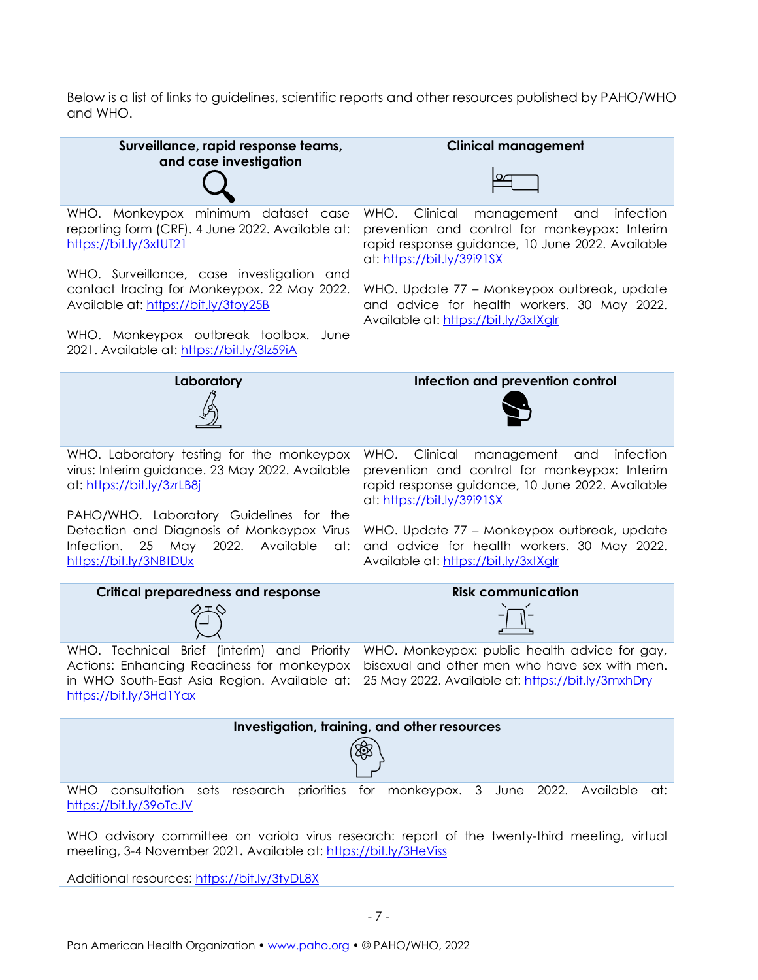Below is a list of links to guidelines, scientific reports and other resources published by PAHO/WHO and WHO.

| Surveillance, rapid response teams,<br>and case investigation                                                                                                        | <b>Clinical management</b>                                                                                                                                                            |  |  |  |
|----------------------------------------------------------------------------------------------------------------------------------------------------------------------|---------------------------------------------------------------------------------------------------------------------------------------------------------------------------------------|--|--|--|
| WHO. Monkeypox minimum dataset case<br>reporting form (CRF). 4 June 2022. Available at:<br>https://bit.ly/3xtUT21                                                    | WHO.<br>Clinical<br>management<br>infection<br>and<br>prevention and control for monkeypox: Interim<br>rapid response guidance, 10 June 2022. Available<br>at: https://bit.ly/39i91SX |  |  |  |
| WHO. Surveillance, case investigation and<br>contact tracing for Monkeypox. 22 May 2022.<br>Available at: https://bit.ly/3toy25B                                     | WHO. Update 77 - Monkeypox outbreak, update<br>and advice for health workers. 30 May 2022.<br>Available at: https://bit.ly/3xtXglr                                                    |  |  |  |
| WHO. Monkeypox outbreak toolbox. June<br>2021. Available at: https://bit.ly/3lz59iA                                                                                  |                                                                                                                                                                                       |  |  |  |
| Laboratory                                                                                                                                                           | Infection and prevention control                                                                                                                                                      |  |  |  |
|                                                                                                                                                                      |                                                                                                                                                                                       |  |  |  |
| WHO. Laboratory testing for the monkeypox<br>virus: Interim guidance. 23 May 2022. Available<br>at: https://bit.ly/3zrLB8j                                           | WHO.<br>Clinical<br>management<br>and<br>infection<br>prevention and control for monkeypox: Interim<br>rapid response guidance, 10 June 2022. Available<br>at: https://bit.ly/39i91SX |  |  |  |
| PAHO/WHO. Laboratory Guidelines for the<br>Detection and Diagnosis of Monkeypox Virus<br>Infection.<br>May<br>25<br>2022. Available<br>at:<br>https://bit.ly/3NBtDUx | WHO. Update 77 - Monkeypox outbreak, update<br>and advice for health workers. 30 May 2022.<br>Available at: https://bit.ly/3xtXglr                                                    |  |  |  |
| <b>Critical preparedness and response</b>                                                                                                                            | <b>Risk communication</b>                                                                                                                                                             |  |  |  |
|                                                                                                                                                                      |                                                                                                                                                                                       |  |  |  |
| WHO. Technical Brief (interim) and Priority<br>Actions: Enhancing Readiness for monkeypox<br>in WHO South-East Asia Region. Available at:<br>https://bit.ly/3Hd1Yax  | WHO. Monkeypox: public health advice for gay,<br>bisexual and other men who have sex with men.<br>25 May 2022. Available at: https://bit.ly/3mxhDry                                   |  |  |  |
| Investigation, training, and other resources                                                                                                                         |                                                                                                                                                                                       |  |  |  |
|                                                                                                                                                                      |                                                                                                                                                                                       |  |  |  |
| consultation<br>sets<br><b>WHO</b><br>https://bit.ly/39oTcJV                                                                                                         | research priorities for monkeypox. 3 June 2022. Available<br>at:                                                                                                                      |  |  |  |
|                                                                                                                                                                      | WHO advisory committee on variola virus research: report of the twenty-third meeting, virtual                                                                                         |  |  |  |

meeting, 3-4 November 2021**.** Available at:<https://bit.ly/3HeViss>

Additional resources:<https://bit.ly/3tyDL8X>